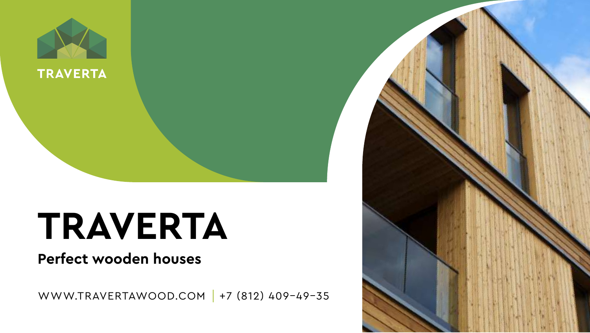

# **TRAVERTA**

### **Perfect wooden houses**

WWW.TRAVERTAWOOD.COM | +7 (812) 409-49-35

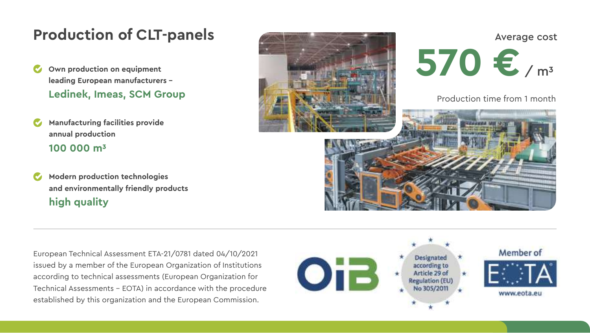### **Production of CLT-panels**

- **Own production on equipment leading European manufacturers – Ledinek, Imeas, SCM Group**
- **Manufacturing facilities provide annual production 100 000 m3**
- **Modern production technologies and environmentally friendly products high quality**



Average cost **570 €** / m<sup>3</sup>

Production time from 1 month



European Technical Assessment ETA-21/0781 dated 04/10/2021 issued by a member of the European Organization of Institutions according to technical assessments (European Organization for Technical Assessments – EOTA) in accordance with the procedure established by this organization and the European Commission.

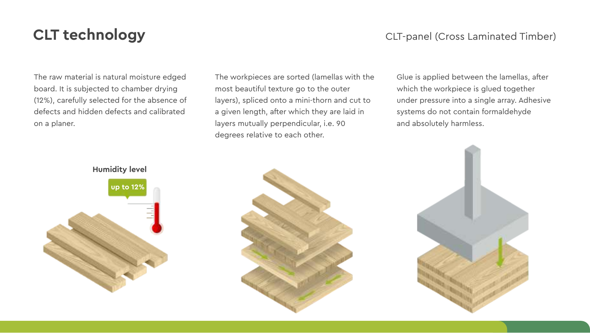### **CLT technology CLT** technology **CLT CLT CLT CLT CLT CLT CLT CLT CLT CLT CLT CLT CLT CLT CLT CLT CLT CLT CLT CLT CLT CLT CLT CLT CLT CLT CLT CLT CLT CLT CLT C**

The raw material is natural moisture edged board. It is subjected to chamber drying (12%), carefully selected for the absence of defects and hidden defects and calibrated on a planer.

The workpieces are sorted (lamellas with the most beautiful texture go to the outer layers), spliced onto a mini-thorn and cut to a given length, after which they are laid in layers mutually perpendicular, i.e. 90 degrees relative to each other.

Glue is applied between the lamellas, after which the workpiece is glued together under pressure into a single array. Adhesive systems do not contain formaldehyde and absolutely harmless.





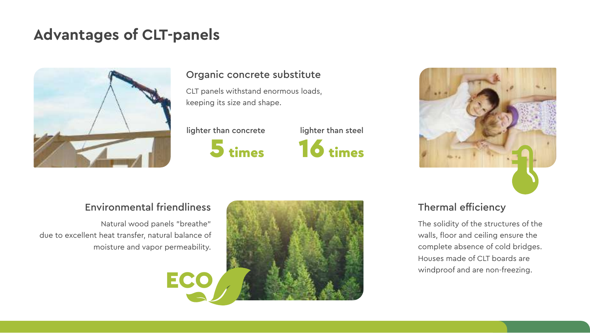### **Advantages of CLT-panels**



#### Organic concrete substitute

CLT panels withstand enormous loads, keeping its size and shape.

lighter than concrete lighter than steel





#### Environmental friendliness

Natural wood panels "breathe" due to excellent heat transfer, natural balance of moisture and vapor permeability.



#### Thermal efficiency

The solidity of the structures of the walls, floor and ceiling ensure the complete absence of cold bridges. Houses made of CLT boards are windproof and are non-freezing.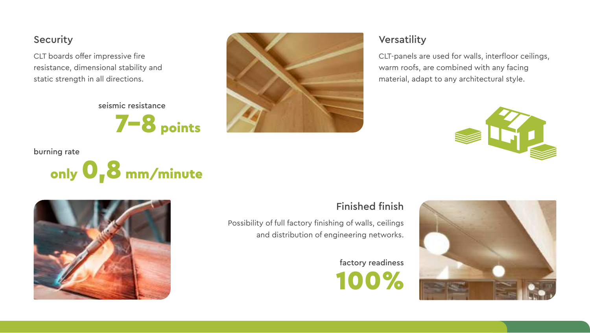#### Security

CLT boards offer impressive fire resistance, dimensional stability and static strength in all directions.

seismic resistance

7–8 points

#### burning rate





#### Versatility

CLT-panels are used for walls, interfloor ceilings, warm roofs, are combined with any facing material, adapt to any architectural style.





### Finished finish

Possibility of full factory finishing of walls, ceilings and distribution of engineering networks.

> 100% factory readiness

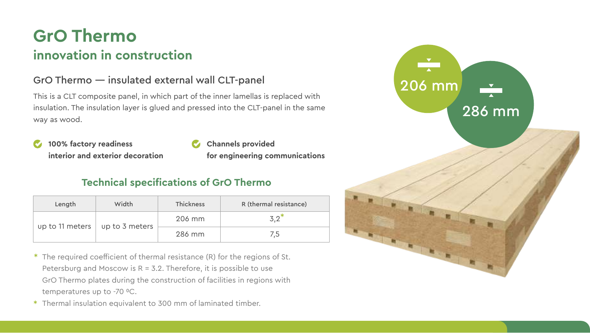### **GrO Thermo innovation in construction**

#### GrO Thermo — insulated external wall CLT-panel

This is a CLT composite panel, in which part of the inner lamellas is replaced with insulation. The insulation layer is glued and pressed into the CLT-panel in the same way as wood.

- **100% factory readiness interior and exterior decoration**
- **Channels provided for engineering communications**

### **Technical specifications of GrO Thermo**

|  | Length          | Width          | <b>Thickness</b> | R (thermal resistance) |
|--|-----------------|----------------|------------------|------------------------|
|  | up to 11 meters | up to 3 meters | 206 mm           | 3.2                    |
|  |                 |                | 286 mm           | 7,5                    |

- \* The required coefficient of thermal resistance (R) for the regions of St. Petersburg and Moscow is  $R = 3.2$ . Therefore, it is possible to use GrO Thermo plates during the construction of facilities in regions with temperatures up to -70 °C.
- Thermal insulation equivalent to 300 mm of laminated timber. \*

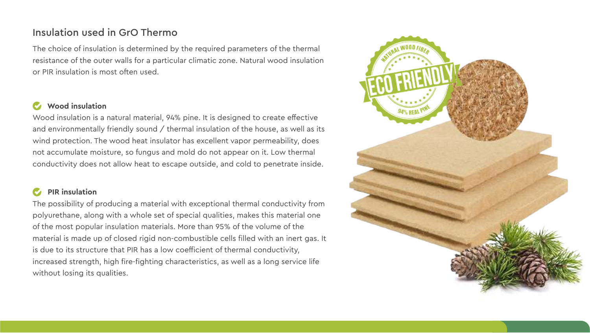#### Insulation used in GrO Thermo

The choice of insulation is determined by the required parameters of the thermal resistance of the outer walls for a particular climatic zone. Natural wood insulation or PIR insulation is most often used.

#### **Wood insulation**

Wood insulation is a natural material, 94% pine. It is designed to create effective and environmentally friendly sound / thermal insulation of the house, as well as its wind protection. The wood heat insulator has excellent vapor permeability, does not accumulate moisture, so fungus and mold do not appear on it. Low thermal conductivity does not allow heat to escape outside, and cold to penetrate inside.

#### **PIR insulation**

The possibility of producing a material with exceptional thermal conductivity from polyurethane, along with a whole set of special qualities, makes this material one of the most popular insulation materials. More than 95% of the volume of the material is made up of closed rigid non-combustible cells filled with an inert gas. It is due to its structure that PIR has a low coefficient of thermal conductivity, increased strength, high fire-fighting characteristics, as well as a long service life without losing its qualities.

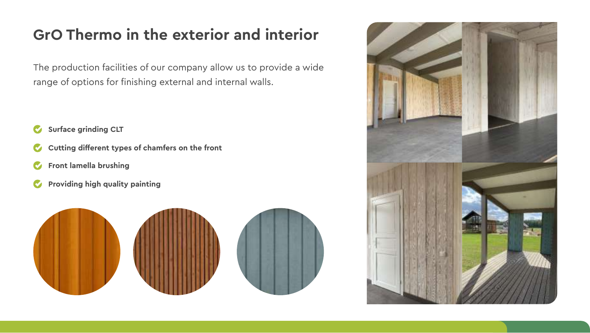### **GrO Thermo in the exterior and interior**

The production facilities of our company allow us to provide a wide range of options for finishing external and internal walls.

- *C* Surface grinding CLT
- *C* Cutting different types of chamfers on the front
- **Front lamella brushing**
- **Providing high quality painting**



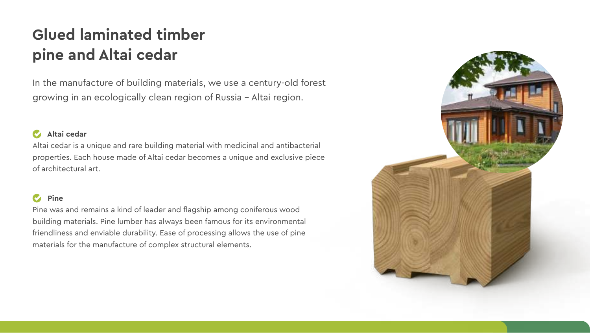### **Glued laminated timber pine and Altai cedar**

In the manufacture of building materials, we use a century-old forest growing in an ecologically clean region of Russia – Altai region.

#### **Altai cedar**

Altai cedar is a unique and rare building material with medicinal and antibacterial properties. Each house made of Altai cedar becomes a unique and exclusive piece of architectural art.

#### **Pine**

Pine was and remains a kind of leader and flagship among coniferous wood building materials. Pine lumber has always been famous for its environmental friendliness and enviable durability. Ease of processing allows the use of pine materials for the manufacture of complex structural elements.

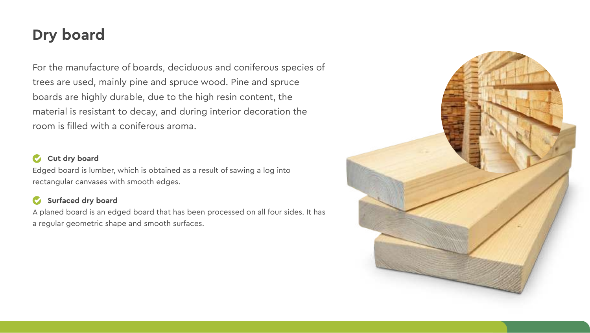### **Dry board**

For the manufacture of boards, deciduous and coniferous species of trees are used, mainly pine and spruce wood. Pine and spruce boards are highly durable, due to the high resin content, the material is resistant to decay, and during interior decoration the room is filled with a coniferous aroma.

#### *C* Cut dry board

Edged board is lumber, which is obtained as a result of sawing a log into rectangular canvases with smooth edges.

#### **Surfaced dry board**

A planed board is an edged board that has been processed on all four sides. It has a regular geometric shape and smooth surfaces.

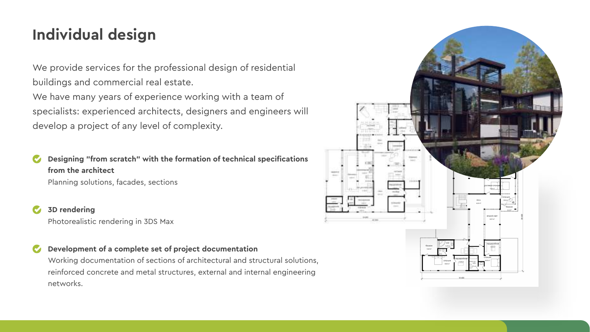### **Individual design**

We provide services for the professional design of residential buildings and commercial real estate.

We have many years of experience working with a team of specialists: experienced architects, designers and engineers will develop a project of any level of complexity.

**Designing "from scratch" with the formation of technical specifications from the architect**

Planning solutions, facades, sections

**3D rendering**

Photorealistic rendering in 3DS Max

#### **Development of a complete set of project documentation**

Working documentation of sections of architectural and structural solutions, reinforced concrete and metal structures, external and internal engineering networks.

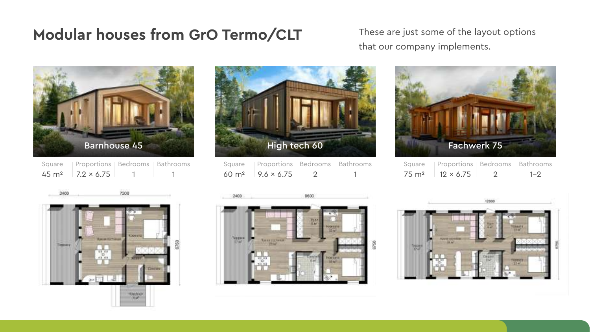### **Modular houses from GrO Termo/CLT** These are just some of the layout options

that our company implements.







| Square            | Proportions   Bedrooms   Bathrooms |  |
|-------------------|------------------------------------|--|
| 60 m <sup>2</sup> | $9.6 \times 6.75$                  |  |



| Square            | Proportions   Bedrooms   Bathrooms |         |
|-------------------|------------------------------------|---------|
| 75 m <sup>2</sup> | $12 \times 6.75$                   | $1 - 2$ |



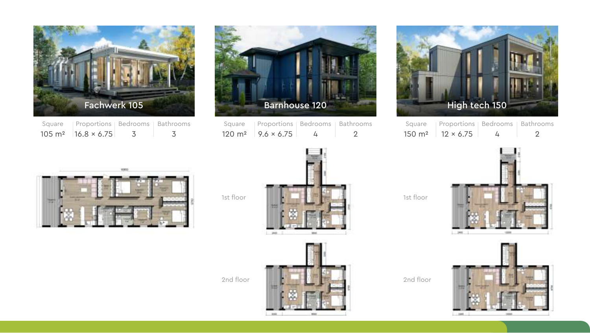

| Square | Proportions   Bedrooms   Bathrooms   |  |  |
|--------|--------------------------------------|--|--|
|        | $105 \text{ m}^2$ 16.8 $\times$ 6.75 |  |  |



| Square | Proportions   Bedrooms   Bathrooms  |   |  |
|--------|-------------------------------------|---|--|
|        | $120 \text{ m}^2$ 9.6 $\times$ 6.75 | ᠘ |  |



Square 150 m2 Proportions Bedrooms Bathrooms  $12 \times 6.75$  $\overline{A}$ 2



1st floor





2nd floor

1st floor



cen-

2nd floor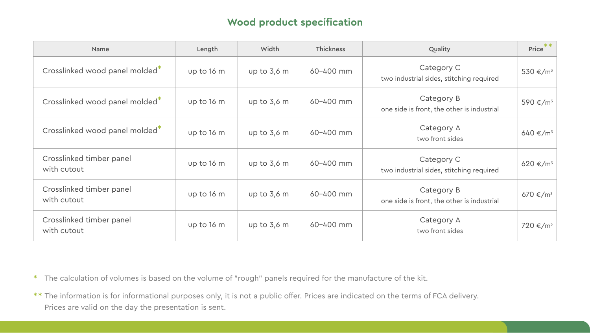#### **Wood product specification**

| Name                                       | Length     | Width         | Thickness     | Quality                                                  | $Price$ **           |
|--------------------------------------------|------------|---------------|---------------|----------------------------------------------------------|----------------------|
| Crosslinked wood panel molded <sup>*</sup> | up to 16 m | up to 3,6 m   | 60-400 mm     | Category C<br>two industrial sides, stitching required   | 530 €/m <sup>3</sup> |
| Crosslinked wood panel molded <sup>*</sup> | up to 16 m | up to $3,6$ m | $60 - 400$ mm | Category B<br>one side is front, the other is industrial | 590 €/m <sup>3</sup> |
| Crosslinked wood panel molded <sup>*</sup> | up to 16 m | up to 3,6 m   | 60-400 mm     | Category A<br>two front sides                            | 640 €/m <sup>3</sup> |
| Crosslinked timber panel<br>with cutout    | up to 16 m | up to $3,6$ m | $60 - 400$ mm | Category C<br>two industrial sides, stitching required   | 620 €/m <sup>3</sup> |
| Crosslinked timber panel<br>with cutout    | up to 16 m | up to $3,6$ m | 60-400 mm     | Category B<br>one side is front, the other is industrial | 670 €/m <sup>3</sup> |
| Crosslinked timber panel<br>with cutout    | up to 16 m | up to 3,6 m   | 60-400 mm     | Category A<br>two front sides                            | 720 €/m <sup>3</sup> |

\* The calculation of volumes is based on the volume of "rough" panels required for the manufacture of the kit.

 $\ast\ast$  The information is for informational purposes only, it is not a public offer. Prices are indicated on the terms of FCA delivery. Prices are valid on the day the presentation is sent.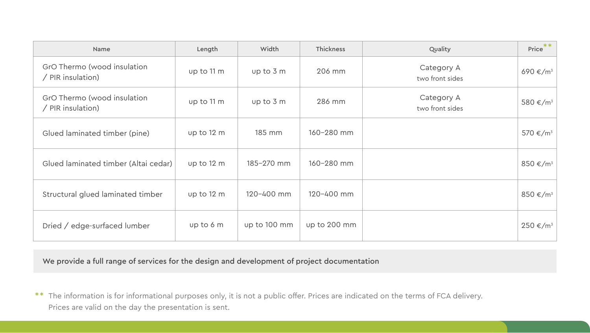| Name                                             | Length     | Width          | Thickness      | Quality                       | $Price$ **           |
|--------------------------------------------------|------------|----------------|----------------|-------------------------------|----------------------|
| GrO Thermo (wood insulation<br>/ PIR insulation) | up to 11 m | up to 3 m      | 206 mm         | Category A<br>two front sides | 690 €/m <sup>3</sup> |
| GrO Thermo (wood insulation<br>/ PIR insulation) | up to 11 m | up to 3 m      | 286 mm         | Category A<br>two front sides | 580 €/m <sup>3</sup> |
| Glued laminated timber (pine)                    | up to 12 m | 185 mm         | 160-280 mm     |                               | 570 €/m <sup>3</sup> |
| Glued laminated timber (Altai cedar)             | up to 12 m | 185-270 mm     | 160-280 mm     |                               | 850 €/m <sup>3</sup> |
| Structural glued laminated timber                | up to 12 m | $120 - 400$ mm | $120 - 400$ mm |                               | 850 €/m <sup>3</sup> |
| Dried / edge-surfaced lumber                     | up to 6 m  | up to 100 mm   | up to 200 mm   |                               | 250 €/m <sup>3</sup> |

We provide a full range of services for the design and development of project documentation

 $\ast\ast$  The information is for informational purposes only, it is not a public offer. Prices are indicated on the terms of FCA delivery. Prices are valid on the day the presentation is sent.